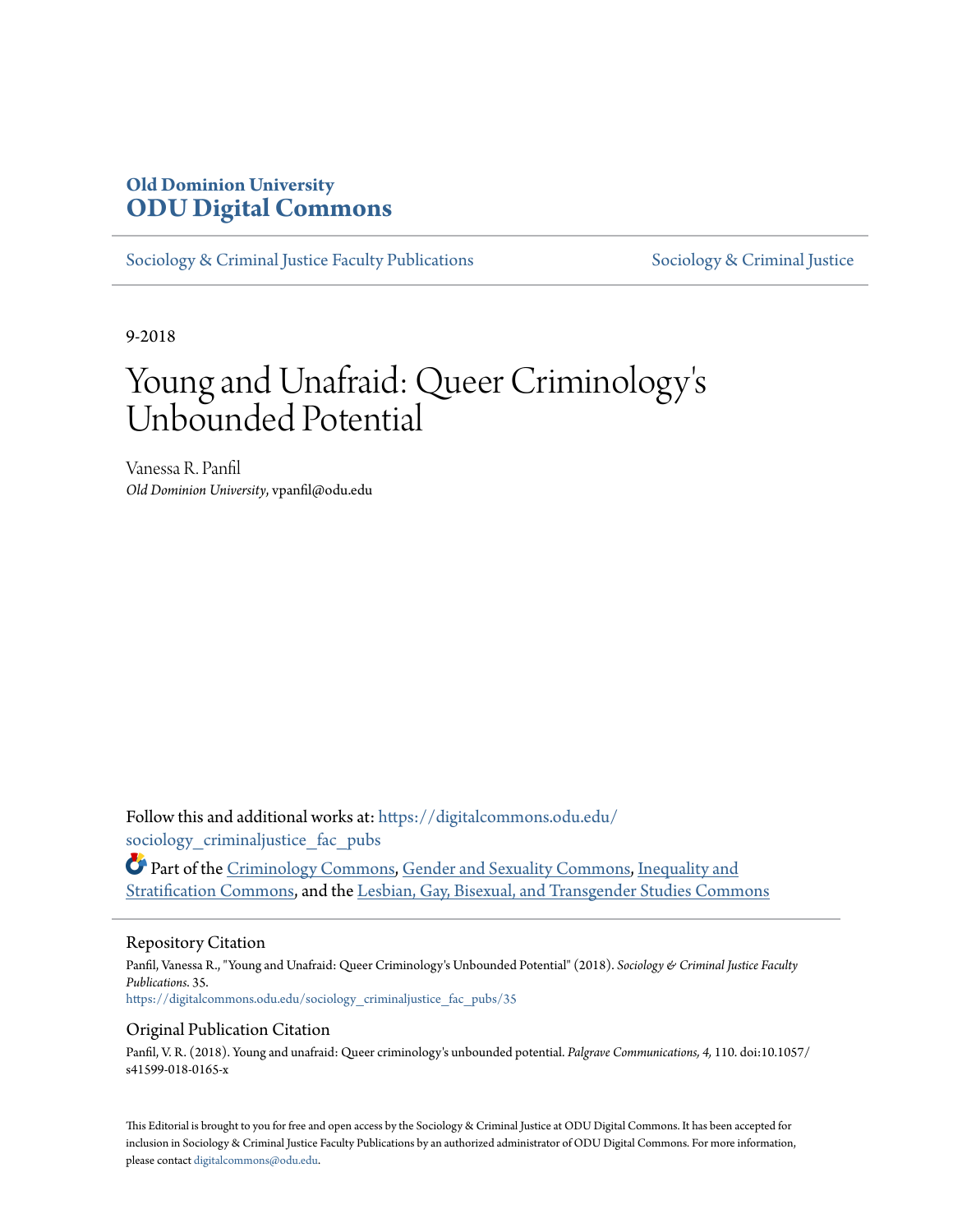# **Old Dominion University [ODU Digital Commons](https://digitalcommons.odu.edu?utm_source=digitalcommons.odu.edu%2Fsociology_criminaljustice_fac_pubs%2F35&utm_medium=PDF&utm_campaign=PDFCoverPages)**

[Sociology & Criminal Justice Faculty Publications](https://digitalcommons.odu.edu/sociology_criminaljustice_fac_pubs?utm_source=digitalcommons.odu.edu%2Fsociology_criminaljustice_fac_pubs%2F35&utm_medium=PDF&utm_campaign=PDFCoverPages) [Sociology & Criminal Justice](https://digitalcommons.odu.edu/sociology_criminaljustice?utm_source=digitalcommons.odu.edu%2Fsociology_criminaljustice_fac_pubs%2F35&utm_medium=PDF&utm_campaign=PDFCoverPages)

9-2018

# Young and Unafraid: Queer Criminology ' s Unbounded Potential

Vanessa R. Panfil *Old Dominion University*, vpanfil@odu.edu

Follow this and additional works at: [https://digitalcommons.odu.edu/](https://digitalcommons.odu.edu/sociology_criminaljustice_fac_pubs?utm_source=digitalcommons.odu.edu%2Fsociology_criminaljustice_fac_pubs%2F35&utm_medium=PDF&utm_campaign=PDFCoverPages) sociology criminaljustice fac pubs

Part of the [Criminology Commons,](http://network.bepress.com/hgg/discipline/417?utm_source=digitalcommons.odu.edu%2Fsociology_criminaljustice_fac_pubs%2F35&utm_medium=PDF&utm_campaign=PDFCoverPages) [Gender and Sexuality Commons](http://network.bepress.com/hgg/discipline/420?utm_source=digitalcommons.odu.edu%2Fsociology_criminaljustice_fac_pubs%2F35&utm_medium=PDF&utm_campaign=PDFCoverPages), [Inequality and](http://network.bepress.com/hgg/discipline/421?utm_source=digitalcommons.odu.edu%2Fsociology_criminaljustice_fac_pubs%2F35&utm_medium=PDF&utm_campaign=PDFCoverPages) [Stratification Commons](http://network.bepress.com/hgg/discipline/421?utm_source=digitalcommons.odu.edu%2Fsociology_criminaljustice_fac_pubs%2F35&utm_medium=PDF&utm_campaign=PDFCoverPages), and the [Lesbian, Gay, Bisexual, and Transgender Studies Commons](http://network.bepress.com/hgg/discipline/560?utm_source=digitalcommons.odu.edu%2Fsociology_criminaljustice_fac_pubs%2F35&utm_medium=PDF&utm_campaign=PDFCoverPages)

## Repository Citation

Panfil, Vanessa R., "Young and Unafraid: Queer Criminology's Unbounded Potential" (2018). *Sociology & Criminal Justice Faculty Publications*. 35. [https://digitalcommons.odu.edu/sociology\\_criminaljustice\\_fac\\_pubs/35](https://digitalcommons.odu.edu/sociology_criminaljustice_fac_pubs/35?utm_source=digitalcommons.odu.edu%2Fsociology_criminaljustice_fac_pubs%2F35&utm_medium=PDF&utm_campaign=PDFCoverPages)

## Original Publication Citation

Panfil, V. R. (2018). Young and unafraid: Queer criminology's unbounded potential. *Palgrave Communications, 4,* 110. doi:10.1057/ s41599-018-0165-x

This Editorial is brought to you for free and open access by the Sociology & Criminal Justice at ODU Digital Commons. It has been accepted for inclusion in Sociology & Criminal Justice Faculty Publications by an authorized administrator of ODU Digital Commons. For more information, please contact [digitalcommons@odu.edu](mailto:digitalcommons@odu.edu).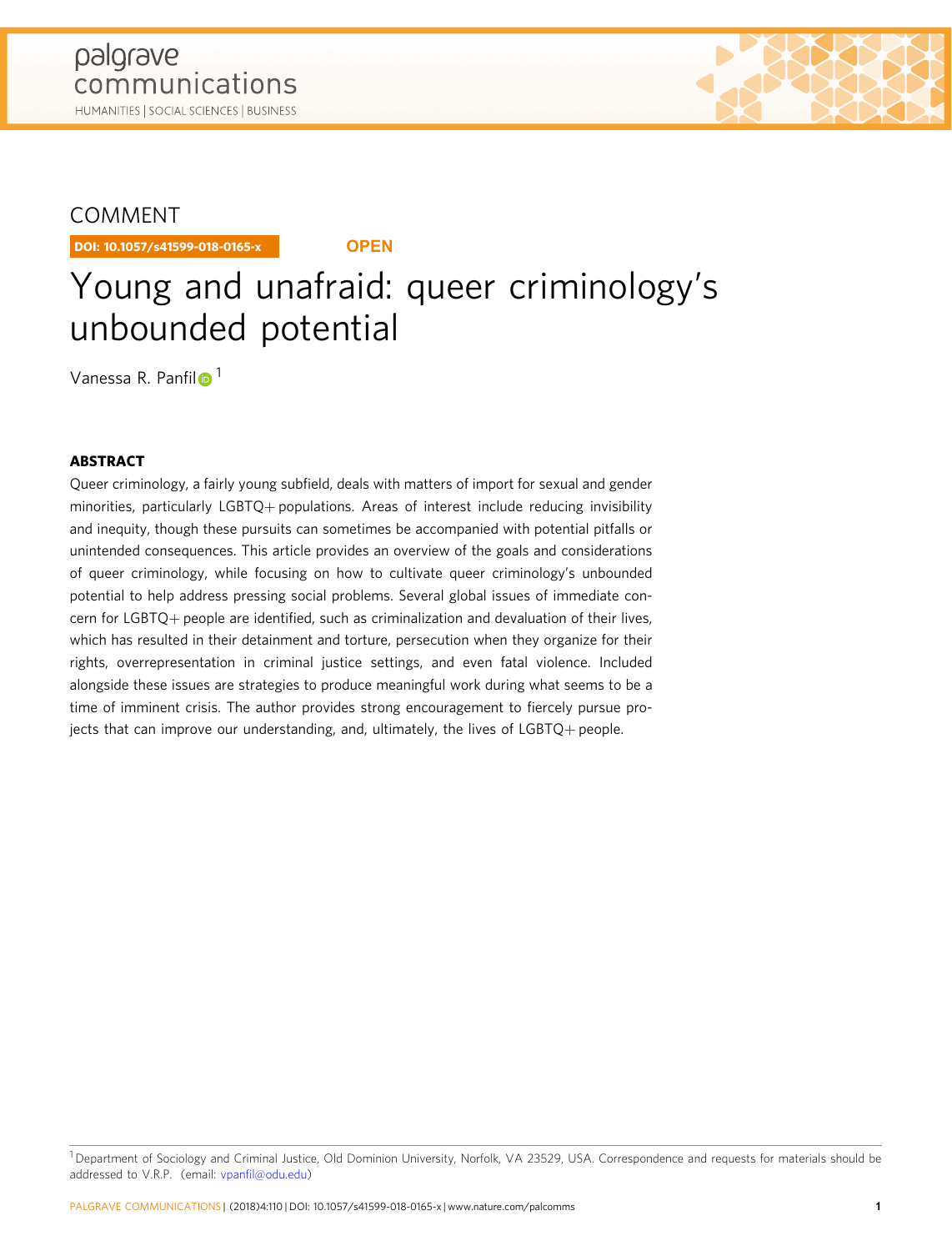

DOI: 10.1057/s41599-018-0165-x **OPEN**

# Young and unafraid: queer criminology's unbounded potential

Vanessa R. Panfi[l](http://orcid.org/0000-0002-3005-4726)<sup>o 1</sup>

# ABSTRACT

Queer criminology, a fairly young subfield, deals with matters of import for sexual and gender minorities, particularly LGBTQ+ populations. Areas of interest include reducing invisibility and inequity, though these pursuits can sometimes be accompanied with potential pitfalls or unintended consequences. This article provides an overview of the goals and considerations of queer criminology, while focusing on how to cultivate queer criminology's unbounded potential to help address pressing social problems. Several global issues of immediate concern for LGBTQ+ people are identified, such as criminalization and devaluation of their lives, which has resulted in their detainment and torture, persecution when they organize for their rights, overrepresentation in criminal justice settings, and even fatal violence. Included alongside these issues are strategies to produce meaningful work during what seems to be a time of imminent crisis. The author provides strong encouragement to fiercely pursue projects that can improve our understanding, and, ultimately, the lives of LGBTQ+ people.

<sup>&</sup>lt;sup>1</sup> Department of Sociology and Criminal Justice, Old Dominion University, Norfolk, VA 23529, USA. Correspondence and requests for materials should be addressed to V.R.P. (email: vpanfi[l@odu.edu](mailto:a4.3d))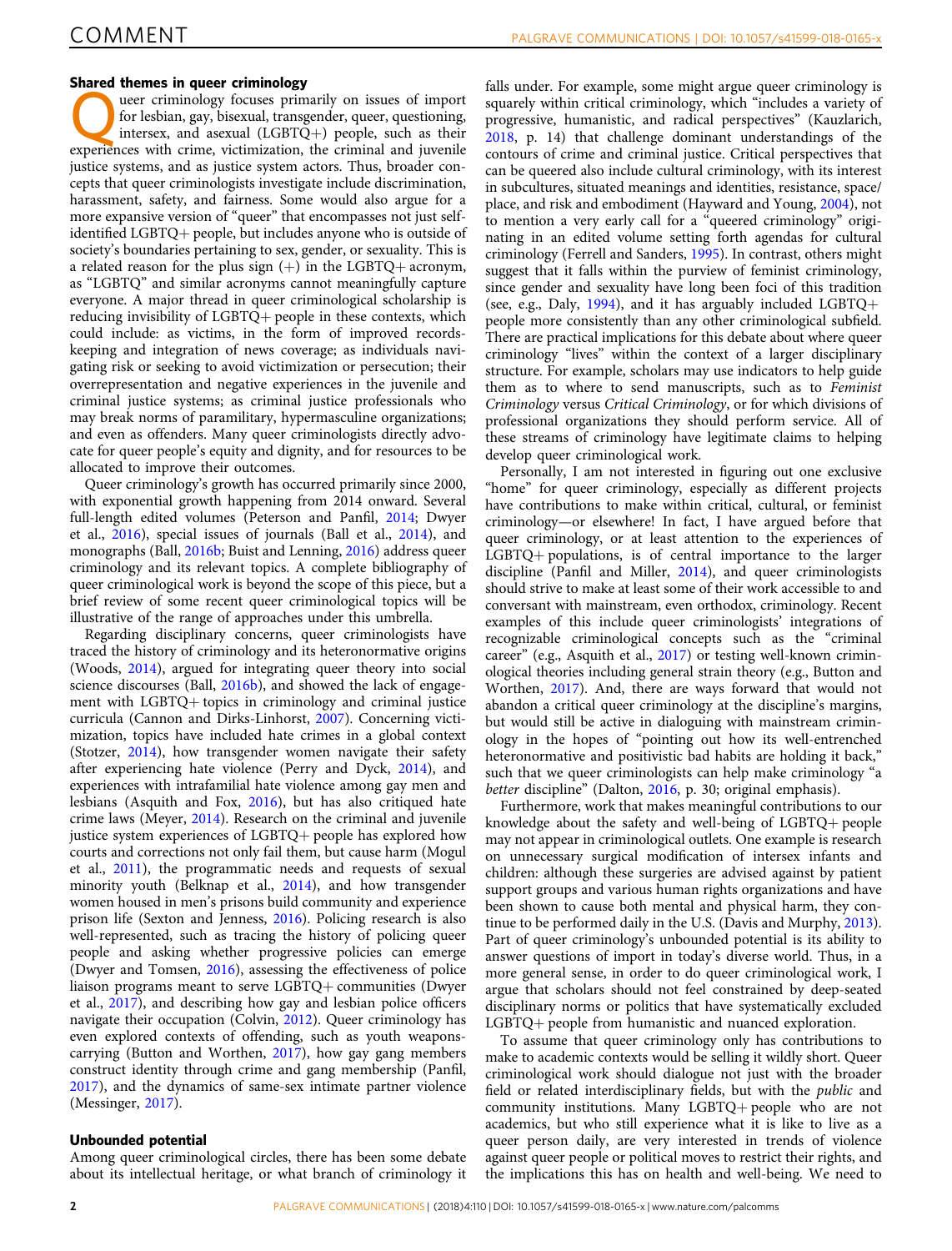#### Shared themes in queer criminology

The difference in queer criminology<br>there criminology focuses primarily on issues of import<br>for lesbian, gay, bisexual, transgender, queer, questioning,<br>there is the criminology such as their for lesbian, gay, bisexual, transgender, queer, questioning, intersex, and asexual (LGBTQ+) people, such as their experiences with crime, victimization, the criminal and juvenile justice systems, and as justice system actors. Thus, broader concepts that queer criminologists investigate include discrimination, harassment, safety, and fairness. Some would also argue for a more expansive version of "queer" that encompasses not just selfidentified LGBTQ+ people, but includes anyone who is outside of society's boundaries pertaining to sex, gender, or sexuality. This is a related reason for the plus sign  $(+)$  in the LGBTQ+ acronym, as "LGBTQ" and similar acronyms cannot meaningfully capture everyone. A major thread in queer criminological scholarship is reducing invisibility of LGBTQ+ people in these contexts, which could include: as victims, in the form of improved recordskeeping and integration of news coverage; as individuals navigating risk or seeking to avoid victimization or persecution; their overrepresentation and negative experiences in the juvenile and criminal justice systems; as criminal justice professionals who may break norms of paramilitary, hypermasculine organizations; and even as offenders. Many queer criminologists directly advocate for queer people's equity and dignity, and for resources to be allocated to improve their outcomes.

Queer criminology's growth has occurred primarily since 2000, with exponential growth happening from 2014 onward. Several full-length edited volumes (Peterson and Panfil, [2014;](#page-5-0) Dwyer et al., [2016](#page-5-0)), special issues of journals (Ball et al., [2014\)](#page-4-0), and monographs (Ball, [2016b](#page-4-0); Buist and Lenning, [2016](#page-4-0)) address queer criminology and its relevant topics. A complete bibliography of queer criminological work is beyond the scope of this piece, but a brief review of some recent queer criminological topics will be illustrative of the range of approaches under this umbrella.

Regarding disciplinary concerns, queer criminologists have traced the history of criminology and its heteronormative origins (Woods, [2014](#page-5-0)), argued for integrating queer theory into social science discourses (Ball, [2016b](#page-4-0)), and showed the lack of engagement with LGBTQ+ topics in criminology and criminal justice curricula (Cannon and Dirks-Linhorst, [2007\)](#page-4-0). Concerning victimization, topics have included hate crimes in a global context (Stotzer, [2014](#page-5-0)), how transgender women navigate their safety after experiencing hate violence (Perry and Dyck, [2014](#page-5-0)), and experiences with intrafamilial hate violence among gay men and lesbians (Asquith and Fox, [2016\)](#page-4-0), but has also critiqued hate crime laws (Meyer, [2014\)](#page-5-0). Research on the criminal and juvenile justice system experiences of LGBTQ+ people has explored how courts and corrections not only fail them, but cause harm (Mogul et al., [2011](#page-5-0)), the programmatic needs and requests of sexual minority youth (Belknap et al., [2014](#page-4-0)), and how transgender women housed in men's prisons build community and experience prison life (Sexton and Jenness, [2016\)](#page-5-0). Policing research is also well-represented, such as tracing the history of policing queer people and asking whether progressive policies can emerge (Dwyer and Tomsen, [2016](#page-5-0)), assessing the effectiveness of police liaison programs meant to serve LGBTQ+ communities (Dwyer et al., [2017](#page-5-0)), and describing how gay and lesbian police officers navigate their occupation (Colvin, [2012\)](#page-4-0). Queer criminology has even explored contexts of offending, such as youth weaponscarrying (Button and Worthen, [2017\)](#page-4-0), how gay gang members construct identity through crime and gang membership (Panfil, [2017\)](#page-5-0), and the dynamics of same-sex intimate partner violence (Messinger, [2017\)](#page-5-0).

#### Unbounded potential

Among queer criminological circles, there has been some debate about its intellectual heritage, or what branch of criminology it

falls under. For example, some might argue queer criminology is squarely within critical criminology, which "includes a variety of progressive, humanistic, and radical perspectives" (Kauzlarich, [2018,](#page-5-0) p. 14) that challenge dominant understandings of the contours of crime and criminal justice. Critical perspectives that can be queered also include cultural criminology, with its interest in subcultures, situated meanings and identities, resistance, space/ place, and risk and embodiment (Hayward and Young, [2004](#page-5-0)), not to mention a very early call for a "queered criminology" originating in an edited volume setting forth agendas for cultural criminology (Ferrell and Sanders, [1995](#page-5-0)). In contrast, others might suggest that it falls within the purview of feminist criminology, since gender and sexuality have long been foci of this tradition (see, e.g., Daly, [1994](#page-5-0)), and it has arguably included LGBTQ+ people more consistently than any other criminological subfield. There are practical implications for this debate about where queer criminology "lives" within the context of a larger disciplinary structure. For example, scholars may use indicators to help guide them as to where to send manuscripts, such as to Feminist Criminology versus Critical Criminology, or for which divisions of professional organizations they should perform service. All of these streams of criminology have legitimate claims to helping develop queer criminological work.

Personally, I am not interested in figuring out one exclusive "home" for queer criminology, especially as different projects have contributions to make within critical, cultural, or feminist criminology—or elsewhere! In fact, I have argued before that queer criminology, or at least attention to the experiences of LGBTQ+ populations, is of central importance to the larger discipline (Panfil and Miller, [2014](#page-5-0)), and queer criminologists should strive to make at least some of their work accessible to and conversant with mainstream, even orthodox, criminology. Recent examples of this include queer criminologists' integrations of recognizable criminological concepts such as the "criminal career" (e.g., Asquith et al., [2017\)](#page-4-0) or testing well-known criminological theories including general strain theory (e.g., Button and Worthen, [2017](#page-4-0)). And, there are ways forward that would not abandon a critical queer criminology at the discipline's margins, but would still be active in dialoguing with mainstream criminology in the hopes of "pointing out how its well-entrenched heteronormative and positivistic bad habits are holding it back," such that we queer criminologists can help make criminology "a better discipline" (Dalton, [2016,](#page-4-0) p. 30; original emphasis).

Furthermore, work that makes meaningful contributions to our knowledge about the safety and well-being of LGBTQ+ people may not appear in criminological outlets. One example is research on unnecessary surgical modification of intersex infants and children: although these surgeries are advised against by patient support groups and various human rights organizations and have been shown to cause both mental and physical harm, they continue to be performed daily in the U.S. (Davis and Murphy, [2013](#page-5-0)). Part of queer criminology's unbounded potential is its ability to answer questions of import in today's diverse world. Thus, in a more general sense, in order to do queer criminological work, I argue that scholars should not feel constrained by deep-seated disciplinary norms or politics that have systematically excluded LGBTQ+ people from humanistic and nuanced exploration.

To assume that queer criminology only has contributions to make to academic contexts would be selling it wildly short. Queer criminological work should dialogue not just with the broader field or related interdisciplinary fields, but with the public and community institutions. Many LGBTQ+ people who are not academics, but who still experience what it is like to live as a queer person daily, are very interested in trends of violence against queer people or political moves to restrict their rights, and the implications this has on health and well-being. We need to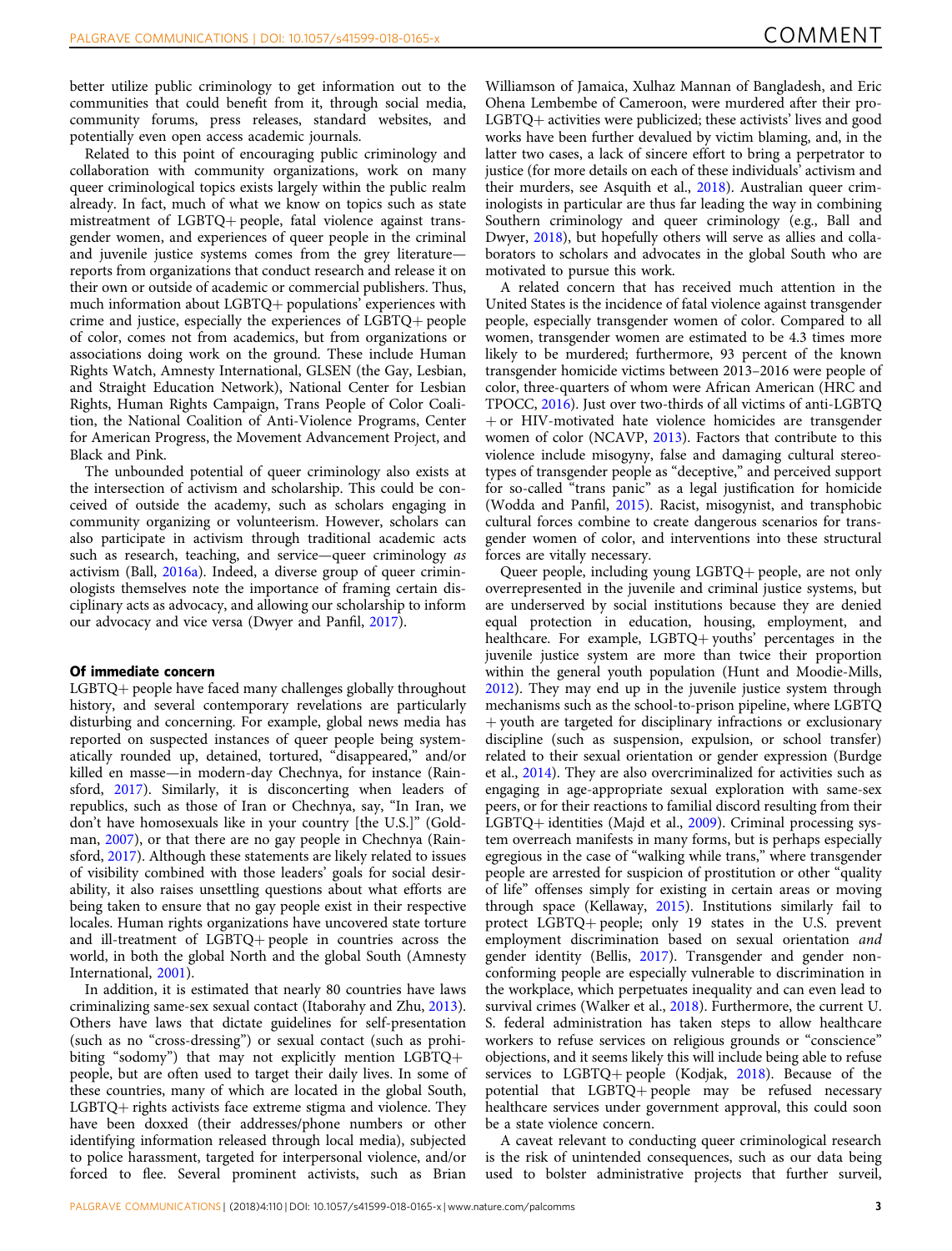better utilize public criminology to get information out to the communities that could benefit from it, through social media, community forums, press releases, standard websites, and potentially even open access academic journals.

Related to this point of encouraging public criminology and collaboration with community organizations, work on many queer criminological topics exists largely within the public realm already. In fact, much of what we know on topics such as state mistreatment of LGBTQ+ people, fatal violence against transgender women, and experiences of queer people in the criminal and juvenile justice systems comes from the grey literature reports from organizations that conduct research and release it on their own or outside of academic or commercial publishers. Thus, much information about LGBTQ+ populations' experiences with crime and justice, especially the experiences of LGBTQ+ people of color, comes not from academics, but from organizations or associations doing work on the ground. These include Human Rights Watch, Amnesty International, GLSEN (the Gay, Lesbian, and Straight Education Network), National Center for Lesbian Rights, Human Rights Campaign, Trans People of Color Coalition, the National Coalition of Anti-Violence Programs, Center for American Progress, the Movement Advancement Project, and Black and Pink.

The unbounded potential of queer criminology also exists at the intersection of activism and scholarship. This could be conceived of outside the academy, such as scholars engaging in community organizing or volunteerism. However, scholars can also participate in activism through traditional academic acts such as research, teaching, and service—queer criminology as activism (Ball, [2016a\)](#page-4-0). Indeed, a diverse group of queer criminologists themselves note the importance of framing certain disciplinary acts as advocacy, and allowing our scholarship to inform our advocacy and vice versa (Dwyer and Panfil, [2017](#page-5-0)).

#### Of immediate concern

LGBTQ+ people have faced many challenges globally throughout history, and several contemporary revelations are particularly disturbing and concerning. For example, global news media has reported on suspected instances of queer people being systematically rounded up, detained, tortured, "disappeared," and/or killed en masse—in modern-day Chechnya, for instance (Rainsford, [2017\)](#page-5-0). Similarly, it is disconcerting when leaders of republics, such as those of Iran or Chechnya, say, "In Iran, we don't have homosexuals like in your country [the U.S.]" (Goldman, [2007\)](#page-5-0), or that there are no gay people in Chechnya (Rainsford, [2017](#page-5-0)). Although these statements are likely related to issues of visibility combined with those leaders' goals for social desirability, it also raises unsettling questions about what efforts are being taken to ensure that no gay people exist in their respective locales. Human rights organizations have uncovered state torture and ill-treatment of LGBTQ+ people in countries across the world, in both the global North and the global South (Amnesty International, [2001](#page-4-0)).

In addition, it is estimated that nearly 80 countries have laws criminalizing same-sex sexual contact (Itaborahy and Zhu, [2013](#page-5-0)). Others have laws that dictate guidelines for self-presentation (such as no "cross-dressing") or sexual contact (such as prohibiting "sodomy") that may not explicitly mention LGBTQ+ people, but are often used to target their daily lives. In some of these countries, many of which are located in the global South, LGBTQ+ rights activists face extreme stigma and violence. They have been doxxed (their addresses/phone numbers or other identifying information released through local media), subjected to police harassment, targeted for interpersonal violence, and/or forced to flee. Several prominent activists, such as Brian

Williamson of Jamaica, Xulhaz Mannan of Bangladesh, and Eric Ohena Lembembe of Cameroon, were murdered after their pro-LGBTQ+ activities were publicized; these activists' lives and good works have been further devalued by victim blaming, and, in the latter two cases, a lack of sincere effort to bring a perpetrator to justice (for more details on each of these individuals' activism and their murders, see Asquith et al., [2018](#page-4-0)). Australian queer criminologists in particular are thus far leading the way in combining Southern criminology and queer criminology (e.g., Ball and Dwyer, [2018](#page-4-0)), but hopefully others will serve as allies and collaborators to scholars and advocates in the global South who are motivated to pursue this work.

A related concern that has received much attention in the United States is the incidence of fatal violence against transgender people, especially transgender women of color. Compared to all women, transgender women are estimated to be 4.3 times more likely to be murdered; furthermore, 93 percent of the known transgender homicide victims between 2013–2016 were people of color, three-quarters of whom were African American (HRC and TPOCC, [2016\)](#page-5-0). Just over two-thirds of all victims of anti-LGBTQ  $+$  or HIV-motivated hate violence homicides are transgender women of color (NCAVP, [2013\)](#page-5-0). Factors that contribute to this violence include misogyny, false and damaging cultural stereotypes of transgender people as "deceptive," and perceived support for so-called "trans panic" as a legal justification for homicide (Wodda and Panfil, [2015](#page-5-0)). Racist, misogynist, and transphobic cultural forces combine to create dangerous scenarios for transgender women of color, and interventions into these structural forces are vitally necessary.

Queer people, including young LGBTQ+ people, are not only overrepresented in the juvenile and criminal justice systems, but are underserved by social institutions because they are denied equal protection in education, housing, employment, and healthcare. For example, LGBTQ+ youths' percentages in the juvenile justice system are more than twice their proportion within the general youth population (Hunt and Moodie-Mills, [2012\)](#page-5-0). They may end up in the juvenile justice system through mechanisms such as the school-to-prison pipeline, where LGBTQ + youth are targeted for disciplinary infractions or exclusionary discipline (such as suspension, expulsion, or school transfer) related to their sexual orientation or gender expression (Burdge et al., [2014](#page-4-0)). They are also overcriminalized for activities such as engaging in age-appropriate sexual exploration with same-sex peers, or for their reactions to familial discord resulting from their LGBTQ+ identities (Majd et al., [2009\)](#page-5-0). Criminal processing system overreach manifests in many forms, but is perhaps especially egregious in the case of "walking while trans," where transgender people are arrested for suspicion of prostitution or other "quality of life" offenses simply for existing in certain areas or moving through space (Kellaway, [2015\)](#page-5-0). Institutions similarly fail to protect LGBTQ+ people; only 19 states in the U.S. prevent employment discrimination based on sexual orientation and gender identity (Bellis, [2017](#page-4-0)). Transgender and gender nonconforming people are especially vulnerable to discrimination in the workplace, which perpetuates inequality and can even lead to survival crimes (Walker et al., [2018](#page-5-0)). Furthermore, the current U. S. federal administration has taken steps to allow healthcare workers to refuse services on religious grounds or "conscience" objections, and it seems likely this will include being able to refuse services to LGBTQ+ people (Kodjak, [2018\)](#page-5-0). Because of the potential that LGBTQ+ people may be refused necessary healthcare services under government approval, this could soon be a state violence concern.

A caveat relevant to conducting queer criminological research is the risk of unintended consequences, such as our data being used to bolster administrative projects that further surveil,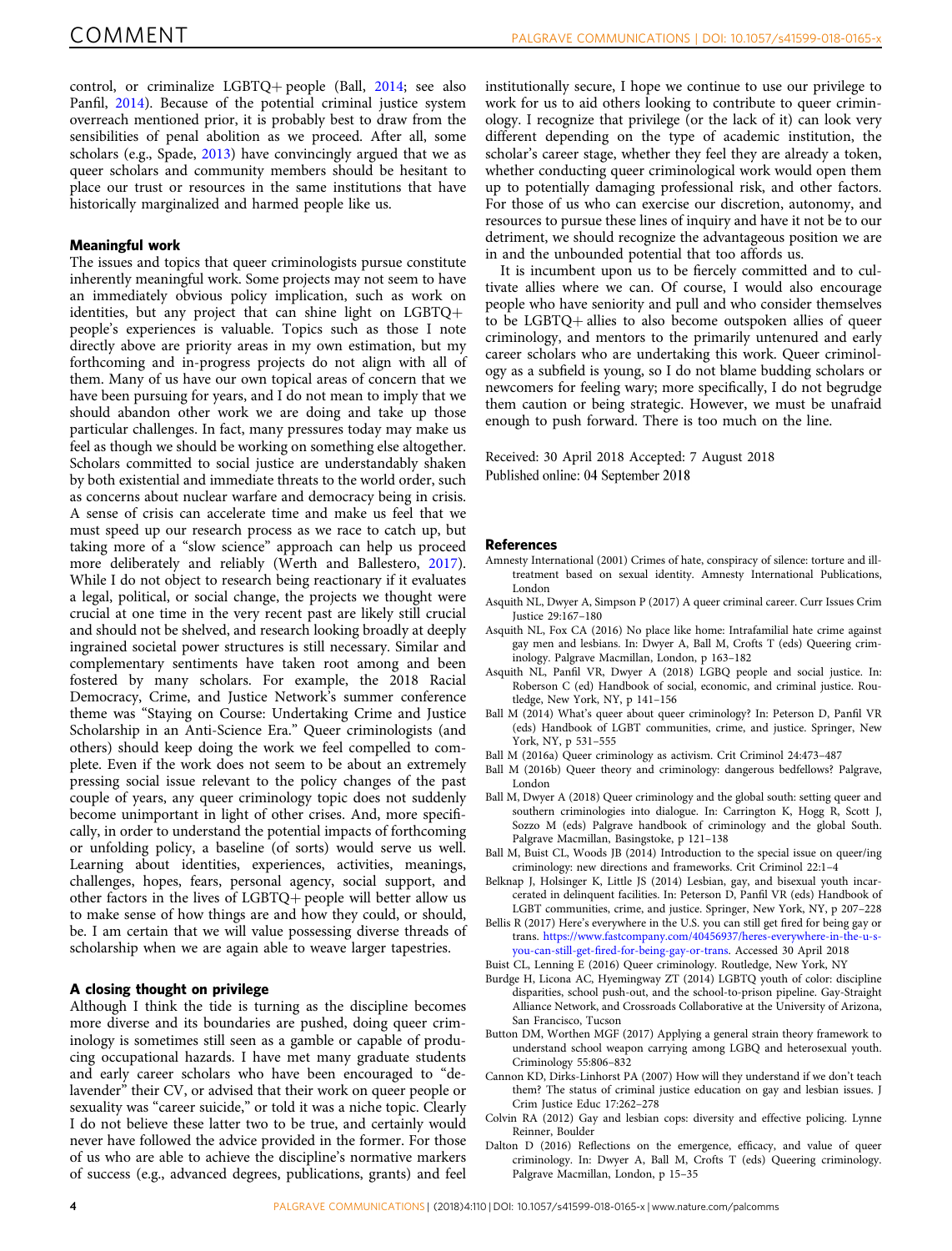<span id="page-4-0"></span>control, or criminalize LGBTQ+ people (Ball, 2014; see also Panfil, [2014](#page-5-0)). Because of the potential criminal justice system overreach mentioned prior, it is probably best to draw from the sensibilities of penal abolition as we proceed. After all, some scholars (e.g., Spade, [2013](#page-5-0)) have convincingly argued that we as queer scholars and community members should be hesitant to place our trust or resources in the same institutions that have historically marginalized and harmed people like us.

#### Meaningful work

The issues and topics that queer criminologists pursue constitute inherently meaningful work. Some projects may not seem to have an immediately obvious policy implication, such as work on identities, but any project that can shine light on LGBTQ+ people's experiences is valuable. Topics such as those I note directly above are priority areas in my own estimation, but my forthcoming and in-progress projects do not align with all of them. Many of us have our own topical areas of concern that we have been pursuing for years, and I do not mean to imply that we should abandon other work we are doing and take up those particular challenges. In fact, many pressures today may make us feel as though we should be working on something else altogether. Scholars committed to social justice are understandably shaken by both existential and immediate threats to the world order, such as concerns about nuclear warfare and democracy being in crisis. A sense of crisis can accelerate time and make us feel that we must speed up our research process as we race to catch up, but taking more of a "slow science" approach can help us proceed more deliberately and reliably (Werth and Ballestero, [2017](#page-5-0)). While I do not object to research being reactionary if it evaluates a legal, political, or social change, the projects we thought were crucial at one time in the very recent past are likely still crucial and should not be shelved, and research looking broadly at deeply ingrained societal power structures is still necessary. Similar and complementary sentiments have taken root among and been fostered by many scholars. For example, the 2018 Racial Democracy, Crime, and Justice Network's summer conference theme was "Staying on Course: Undertaking Crime and Justice Scholarship in an Anti-Science Era." Queer criminologists (and others) should keep doing the work we feel compelled to complete. Even if the work does not seem to be about an extremely pressing social issue relevant to the policy changes of the past couple of years, any queer criminology topic does not suddenly become unimportant in light of other crises. And, more specifically, in order to understand the potential impacts of forthcoming or unfolding policy, a baseline (of sorts) would serve us well. Learning about identities, experiences, activities, meanings, challenges, hopes, fears, personal agency, social support, and other factors in the lives of LGBTQ+ people will better allow us to make sense of how things are and how they could, or should, be. I am certain that we will value possessing diverse threads of scholarship when we are again able to weave larger tapestries.

#### A closing thought on privilege

Although I think the tide is turning as the discipline becomes more diverse and its boundaries are pushed, doing queer criminology is sometimes still seen as a gamble or capable of producing occupational hazards. I have met many graduate students and early career scholars who have been encouraged to "delavender" their CV, or advised that their work on queer people or sexuality was "career suicide," or told it was a niche topic. Clearly I do not believe these latter two to be true, and certainly would never have followed the advice provided in the former. For those of us who are able to achieve the discipline's normative markers of success (e.g., advanced degrees, publications, grants) and feel

institutionally secure, I hope we continue to use our privilege to work for us to aid others looking to contribute to queer criminology. I recognize that privilege (or the lack of it) can look very different depending on the type of academic institution, the scholar's career stage, whether they feel they are already a token, whether conducting queer criminological work would open them up to potentially damaging professional risk, and other factors. For those of us who can exercise our discretion, autonomy, and resources to pursue these lines of inquiry and have it not be to our detriment, we should recognize the advantageous position we are in and the unbounded potential that too affords us.

It is incumbent upon us to be fiercely committed and to cultivate allies where we can. Of course, I would also encourage people who have seniority and pull and who consider themselves to be LGBTQ+ allies to also become outspoken allies of queer criminology, and mentors to the primarily untenured and early career scholars who are undertaking this work. Queer criminology as a subfield is young, so I do not blame budding scholars or newcomers for feeling wary; more specifically, I do not begrudge them caution or being strategic. However, we must be unafraid enough to push forward. There is too much on the line.

Received: 30 April 2018 Accepted: 7 August 2018 Published online: 04 September 2018

#### **References**

- Amnesty International (2001) Crimes of hate, conspiracy of silence: torture and illtreatment based on sexual identity. Amnesty International Publications, London
- Asquith NL, Dwyer A, Simpson P (2017) A queer criminal career. Curr Issues Crim Justice 29:167–180
- Asquith NL, Fox CA (2016) No place like home: Intrafamilial hate crime against gay men and lesbians. In: Dwyer A, Ball M, Crofts T (eds) Queering criminology. Palgrave Macmillan, London, p 163–182
- Asquith NL, Panfil VR, Dwyer A (2018) LGBQ people and social justice. In: Roberson C (ed) Handbook of social, economic, and criminal justice. Routledge, New York, NY, p 141–156
- Ball M (2014) What's queer about queer criminology? In: Peterson D, Panfil VR (eds) Handbook of LGBT communities, crime, and justice. Springer, New York, NY, p 531–555
- Ball M (2016a) Queer criminology as activism. Crit Criminol 24:473–487
- Ball M (2016b) Queer theory and criminology: dangerous bedfellows? Palgrave, London
- Ball M, Dwyer A (2018) Queer criminology and the global south: setting queer and southern criminologies into dialogue. In: Carrington K, Hogg R, Scott J, Sozzo M (eds) Palgrave handbook of criminology and the global South. Palgrave Macmillan, Basingstoke, p 121–138
- Ball M, Buist CL, Woods JB (2014) Introduction to the special issue on queer/ing criminology: new directions and frameworks. Crit Criminol 22:1–4
- Belknap J, Holsinger K, Little JS (2014) Lesbian, gay, and bisexual youth incarcerated in delinquent facilities. In: Peterson D, Panfil VR (eds) Handbook of LGBT communities, crime, and justice. Springer, New York, NY, p 207–228
- Bellis R (2017) Here's everywhere in the U.S. you can still get fired for being gay or trans. [https://www.fastcompany.com/40456937/heres-everywhere-in-the-u-s](https://www.fastcompany.com/40456937/heres-everywhere-in-the-u-s-you-can-still-get-fired-for-being-gay-or-trans)you-can-still-get-fi[red-for-being-gay-or-trans.](https://www.fastcompany.com/40456937/heres-everywhere-in-the-u-s-you-can-still-get-fired-for-being-gay-or-trans) Accessed 30 April 2018
- Buist CL, Lenning E (2016) Queer criminology. Routledge, New York, NY
- Burdge H, Licona AC, Hyemingway ZT (2014) LGBTQ youth of color: discipline disparities, school push-out, and the school-to-prison pipeline. Gay-Straight Alliance Network, and Crossroads Collaborative at the University of Arizona, San Francisco, Tucson
- Button DM, Worthen MGF (2017) Applying a general strain theory framework to understand school weapon carrying among LGBQ and heterosexual youth. Criminology 55:806–832
- Cannon KD, Dirks-Linhorst PA (2007) How will they understand if we don't teach them? The status of criminal justice education on gay and lesbian issues. J Crim Justice Educ 17:262–278
- Colvin RA (2012) Gay and lesbian cops: diversity and effective policing. Lynne Reinner, Boulder
- Dalton D (2016) Reflections on the emergence, efficacy, and value of queer criminology. In: Dwyer A, Ball M, Crofts T (eds) Queering criminology. Palgrave Macmillan, London, p 15–35